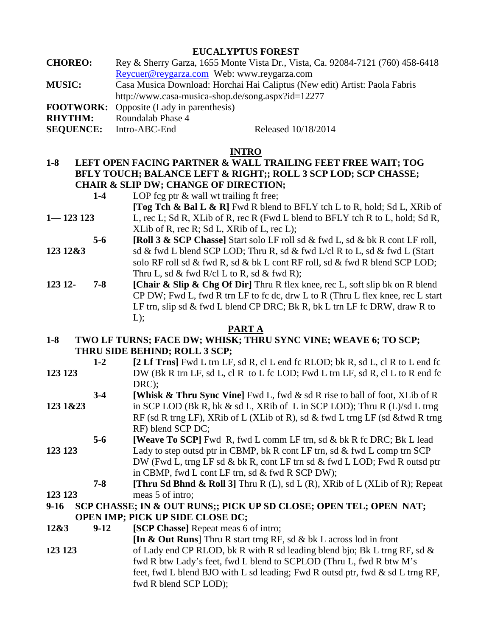## **EUCALYPTUS FOREST**

| <b>CHOREO:</b>   | Rey & Sherry Garza, 1655 Monte Vista Dr., Vista, Ca. 92084-7121 (760) 458-6418 |
|------------------|--------------------------------------------------------------------------------|
|                  | Reycuer@reygarza.com Web: www.reygarza.com                                     |
| <b>MUSIC:</b>    | Casa Musica Download: Horchai Hai Caliptus (New edit) Artist: Paola Fabris     |
|                  | http://www.casa-musica-shop.de/song.aspx?id=12277                              |
|                  | <b>FOOTWORK:</b> Opposite (Lady in parenthesis)                                |
| <b>RHYTHM:</b>   | Roundalab Phase 4                                                              |
| <b>SEQUENCE:</b> | Released 10/18/2014<br>Intro-ABC-End                                           |
|                  |                                                                                |

### **INTRO**

- **1-8 LEFT OPEN FACING PARTNER & WALL TRAILING FEET FREE WAIT; TOG BFLY TOUCH; BALANCE LEFT & RIGHT;; ROLL 3 SCP LOD; SCP CHASSE; CHAIR & SLIP DW; CHANGE OF DIRECTION;** 
	- **1-4** LOP fcg ptr & wall wt trailing ft free;
- **[Tog Tch & Bal L & R]** Fwd R blend to BFLY tch L to R, hold; Sd L, XRib of **1— 123 123** L, rec L; Sd R, XLib of R, rec R (Fwd L blend to BFLY tch R to L, hold; Sd R, XLib of R, rec R; Sd L, XRib of L, rec L);
- **5-6 [Roll 3 & SCP Chasse]** Start solo LF roll sd & fwd L, sd & bk R cont LF roll, **123 12&3** sd & fwd L blend SCP LOD; Thru R, sd & fwd L/cl R to L, sd & fwd L (Start solo RF roll sd & fwd R, sd & bk L cont RF roll, sd & fwd R blend SCP LOD; Thru L, sd  $\&$  fwd R/cl L to R, sd  $\&$  fwd R);
- **123 12- 7-8 [Chair & Slip & Chg Of Dir]** Thru R flex knee, rec L, soft slip bk on R blend CP DW; Fwd L, fwd R trn LF to fc dc, drw L to R (Thru L flex knee, rec L start LF trn, slip sd & fwd L blend CP DRC; Bk R, bk L trn LF fc DRW, draw R to  $L$ :

#### **PART A**

# **1-8 TWO LF TURNS; FACE DW; WHISK; THRU SYNC VINE; WEAVE 6; TO SCP; THRU SIDE BEHIND; ROLL 3 SCP;**

- **1-2 [2 Lf Trns]** Fwd L trn LF, sd R, cl L end fc RLOD; bk R, sd L, cl R to L end fc **123 123** DW (Bk R trn LF, sd L, cl R to L fc LOD; Fwd L trn LF, sd R, cl L to R end fc DRC);
- **3-4** [Whisk & Thru Sync Vine] Fwd L, fwd & sd R rise to ball of foot, XLib of R **123 1&23** in SCP LOD (Bk R, bk & sd L, XRib of L in SCP LOD); Thru R (L)/sd L trng RF (sd R trng LF), XRib of L (XLib of R), sd & fwd L trng LF (sd &fwd R trng RF) blend SCP DC;
- **5-6 [Weave To SCP]** Fwd R, fwd L comm LF trn, sd & bk R fc DRC; Bk L lead **123 123** Lady to step outsd ptr in CBMP, bk R cont LF trn, sd & fwd L comp trn SCP DW (Fwd L, trng LF sd & bk R, cont LF trn sd & fwd L LOD; Fwd R outsd ptr in CBMP, fwd L cont LF trn, sd & fwd R SCP DW);
- **7-8 [Thru Sd Bhnd & Roll 3]** Thru R (L), sd L (R), XRib of L (XLib of R); Repeat **123 123** meas 5 of intro;

### **9-16 SCP CHASSE; IN & OUT RUNS;; PICK UP SD CLOSE; OPEN TEL; OPEN NAT; OPEN IMP; PICK UP SIDE CLOSE DC;**

**12&3 9-12 [SCP Chasse]** Repeat meas 6 of intro;

 **[In & Out Runs**] Thru R start trng RF, sd & bk L across lod in front

**123 123** of Lady end CP RLOD, bk R with R sd leading blend bjo; Bk L trng RF, sd & fwd R btw Lady's feet, fwd L blend to SCPLOD (Thru L, fwd R btw M's feet, fwd L blend BJO with L sd leading; Fwd R outsd ptr, fwd & sd L trng RF, fwd R blend SCP LOD);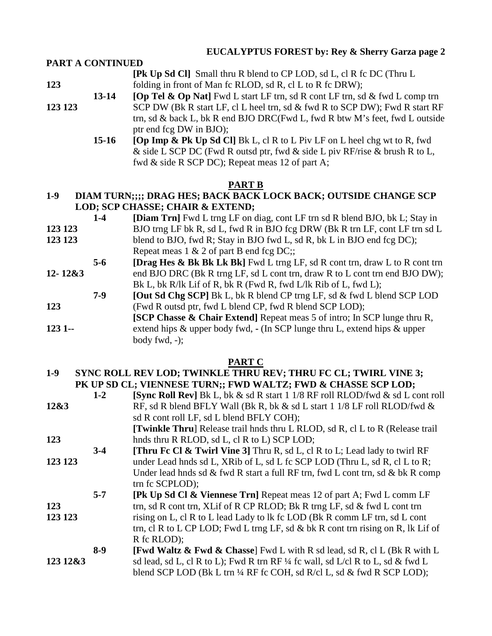# **EUCALYPTUS FOREST by: Rey & Sherry Garza page 2**

## **PART A CONTINUED**

- **[Pk Up Sd Cl]** Small thru R blend to CP LOD, sd L, cl R fc DC (Thru L **123** folding in front of Man fc RLOD, sd R, cl L to R fc DRW);
- **13-14 [Op Tel & Op Nat]** Fwd L start LF trn, sd R cont LF trn, sd & fwd L comp trn **123 123** SCP DW (Bk R start LF, cl L heel trn, sd & fwd R to SCP DW); Fwd R start RF trn, sd & back L, bk R end BJO DRC(Fwd L, fwd R btw M's feet, fwd L outside ptr end fcg DW in BJO);
	- **15-16 [Op Imp & Pk Up Sd Cl]** Bk L, cl R to L Piv LF on L heel chg wt to R, fwd & side L SCP DC (Fwd R outsd ptr, fwd & side L piv RF/rise & brush R to L, fwd & side R SCP DC); Repeat meas 12 of part A;

## **PART B**

## **1-9 DIAM TURN;;;; DRAG HES; BACK BACK LOCK BACK; OUTSIDE CHANGE SCP LOD; SCP CHASSE; CHAIR & EXTEND;**

**1-4** [Diam Trn] Fwd L trng LF on diag, cont LF trn sd R blend BJO, bk L; Stay in **123 123** BJO trng LF bk R, sd L, fwd R in BJO fcg DRW (Bk R trn LF, cont LF trn sd L **123 123** blend to BJO, fwd R; Stay in BJO fwd L, sd R, bk L in BJO end fcg DC); Repeat meas 1 & 2 of part B end fcg DC;; **5-6 [Drag Hes & Bk Bk Lk Bk]** Fwd L trng LF, sd R cont trn, draw L to R cont trn **12- 12&3** end BJO DRC (Bk R trng LF, sd L cont trn, draw R to L cont trn end BJO DW); Bk L, bk R/lk Lif of R, bk R (Fwd R, fwd L/lk Rib of L, fwd L);  **7-9 [Out Sd Chg SCP]** Bk L, bk R blend CP trng LF, sd & fwd L blend SCP LOD **123** (Fwd R outsd ptr, fwd L blend CP, fwd R blend SCP LOD); **[SCP Chasse & Chair Extend]** Repeat meas 5 of intro; In SCP lunge thru R, **123 1--** extend hips & upper body fwd, **-** (In SCP lunge thru L, extend hips & upper body fwd,  $-$ );

#### **PART C**

# **1-9 SYNC ROLL REV LOD; TWINKLE THRU REV; THRU FC CL; TWIRL VINE 3; PK UP SD CL; VIENNESE TURN;; FWD WALTZ; FWD & CHASSE SCP LOD; 1-2 [Sync Roll Rev]** Bk L, bk & sd R start 1 1/8 RF roll RLOD/fwd & sd L cont roll

| 12&3       |         | RF, sd R blend BFLY Wall (Bk R, bk & sd L start 1 1/8 LF roll RLOD/fwd &                  |
|------------|---------|-------------------------------------------------------------------------------------------|
|            |         | sd R cont roll LF, sd L blend BFLY COH);                                                  |
|            |         | [Twinkle Thru] Release trail hnds thru L RLOD, sd R, cl L to R (Release trail             |
| 123        |         | hnds thru R RLOD, sd L, cl R to L) SCP LOD;                                               |
|            | $3-4$   | <b>[Thru Fc Cl &amp; Twirl Vine 3]</b> Thru R, sd L, cl R to L; Lead lady to twirl RF     |
| 123 123    |         | under Lead hnds sd L, XRib of L, sd L fc SCP LOD (Thru L, sd R, cl L to R;                |
|            |         | Under lead hnds sd & fwd R start a full RF trn, fwd L cont trn, sd & bk R comp            |
|            |         | trn fc SCPLOD);                                                                           |
|            | $5 - 7$ | <b>[Pk Up Sd Cl &amp; Viennese Trn]</b> Repeat meas 12 of part A; Fwd L comm LF           |
| 123        |         | trn, sd R cont trn, XLif of R CP RLOD; Bk R trng LF, sd & fwd L cont trn                  |
| 123 123    |         | rising on L, cl R to L lead Lady to lk fc LOD (Bk R comm LF trn, sd L cont                |
|            |         | trn, cl R to L CP LOD; Fwd L trng LF, sd & bk R cont trn rising on R, lk Lif of           |
|            |         | R fc RLOD);                                                                               |
|            | $8-9$   | <b>[Fwd Waltz &amp; Fwd &amp; Chasse]</b> Fwd L with R sd lead, sd R, cl L (Bk R with L   |
| 123 12 & 3 |         | sd lead, sd L, cl R to L); Fwd R trn RF $\frac{1}{4}$ fc wall, sd L/cl R to L, sd & fwd L |
|            |         | blend SCP LOD (Bk L trn ¼ RF fc COH, sd R/cl L, sd & fwd R SCP LOD);                      |